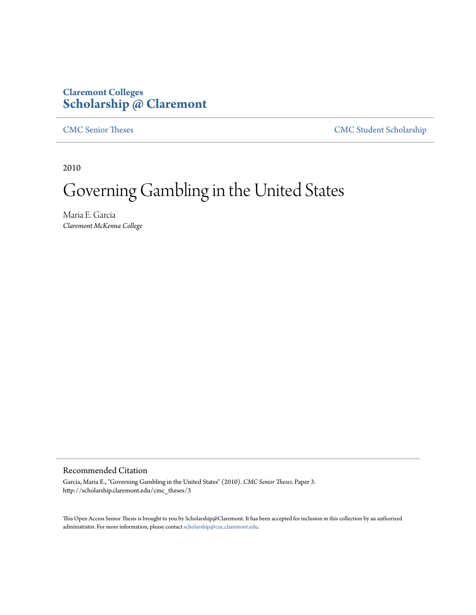## **Claremont Colleges [Scholarship @ Claremont](http://scholarship.claremont.edu)**

[CMC Senior Theses](http://scholarship.claremont.edu/cmc_theses) [CMC Student Scholarship](http://scholarship.claremont.edu/cmc_student)

2010

# Governing Gambling in the United States

Maria E. Garcia *Claremont McKenna College*

## Recommended Citation

Garcia, Maria E., "Governing Gambling in the United States" (2010). *CMC Senior Theses.* Paper 3. http://scholarship.claremont.edu/cmc\_theses/3

This Open Access Senior Thesis is brought to you by Scholarship@Claremont. It has been accepted for inclusion in this collection by an authorized administrator. For more information, please contact [scholarship@cuc.claremont.edu.](mailto:scholarship@cuc.claremont.edu)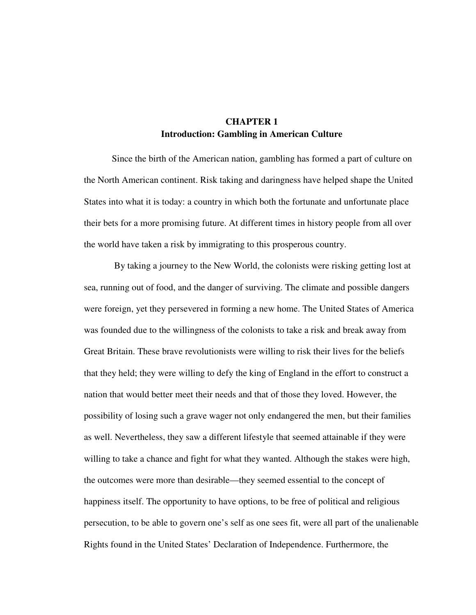## **CHAPTER 1 Introduction: Gambling in American Culture**

Since the birth of the American nation, gambling has formed a part of culture on the North American continent. Risk taking and daringness have helped shape the United States into what it is today: a country in which both the fortunate and unfortunate place their bets for a more promising future. At different times in history people from all over the world have taken a risk by immigrating to this prosperous country.

 By taking a journey to the New World, the colonists were risking getting lost at sea, running out of food, and the danger of surviving. The climate and possible dangers were foreign, yet they persevered in forming a new home. The United States of America was founded due to the willingness of the colonists to take a risk and break away from Great Britain. These brave revolutionists were willing to risk their lives for the beliefs that they held; they were willing to defy the king of England in the effort to construct a nation that would better meet their needs and that of those they loved. However, the possibility of losing such a grave wager not only endangered the men, but their families as well. Nevertheless, they saw a different lifestyle that seemed attainable if they were willing to take a chance and fight for what they wanted. Although the stakes were high, the outcomes were more than desirable—they seemed essential to the concept of happiness itself. The opportunity to have options, to be free of political and religious persecution, to be able to govern one's self as one sees fit, were all part of the unalienable Rights found in the United States' Declaration of Independence. Furthermore, the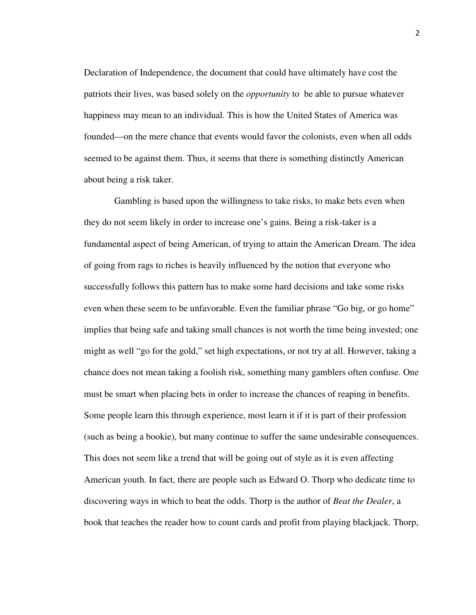Declaration of Independence, the document that could have ultimately have cost the patriots their lives, was based solely on the *opportunity* to be able to pursue whatever happiness may mean to an individual. This is how the United States of America was founded—on the mere chance that events would favor the colonists, even when all odds seemed to be against them. Thus, it seems that there is something distinctly American about being a risk taker.

 Gambling is based upon the willingness to take risks, to make bets even when they do not seem likely in order to increase one's gains. Being a risk-taker is a fundamental aspect of being American, of trying to attain the American Dream. The idea of going from rags to riches is heavily influenced by the notion that everyone who successfully follows this pattern has to make some hard decisions and take some risks even when these seem to be unfavorable. Even the familiar phrase "Go big, or go home" implies that being safe and taking small chances is not worth the time being invested; one might as well "go for the gold," set high expectations, or not try at all. However, taking a chance does not mean taking a foolish risk, something many gamblers often confuse. One must be smart when placing bets in order to increase the chances of reaping in benefits. Some people learn this through experience, most learn it if it is part of their profession (such as being a bookie), but many continue to suffer the same undesirable consequences. This does not seem like a trend that will be going out of style as it is even affecting American youth. In fact, there are people such as Edward O. Thorp who dedicate time to discovering ways in which to beat the odds. Thorp is the author of *Beat the Dealer*, a book that teaches the reader how to count cards and profit from playing blackjack. Thorp,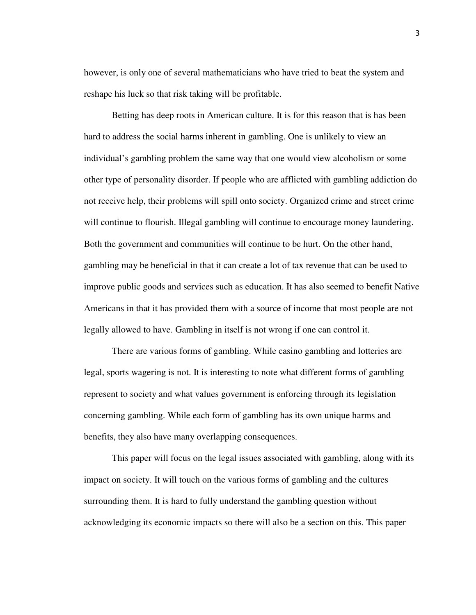however, is only one of several mathematicians who have tried to beat the system and reshape his luck so that risk taking will be profitable.

Betting has deep roots in American culture. It is for this reason that is has been hard to address the social harms inherent in gambling. One is unlikely to view an individual's gambling problem the same way that one would view alcoholism or some other type of personality disorder. If people who are afflicted with gambling addiction do not receive help, their problems will spill onto society. Organized crime and street crime will continue to flourish. Illegal gambling will continue to encourage money laundering. Both the government and communities will continue to be hurt. On the other hand, gambling may be beneficial in that it can create a lot of tax revenue that can be used to improve public goods and services such as education. It has also seemed to benefit Native Americans in that it has provided them with a source of income that most people are not legally allowed to have. Gambling in itself is not wrong if one can control it.

There are various forms of gambling. While casino gambling and lotteries are legal, sports wagering is not. It is interesting to note what different forms of gambling represent to society and what values government is enforcing through its legislation concerning gambling. While each form of gambling has its own unique harms and benefits, they also have many overlapping consequences.

This paper will focus on the legal issues associated with gambling, along with its impact on society. It will touch on the various forms of gambling and the cultures surrounding them. It is hard to fully understand the gambling question without acknowledging its economic impacts so there will also be a section on this. This paper

3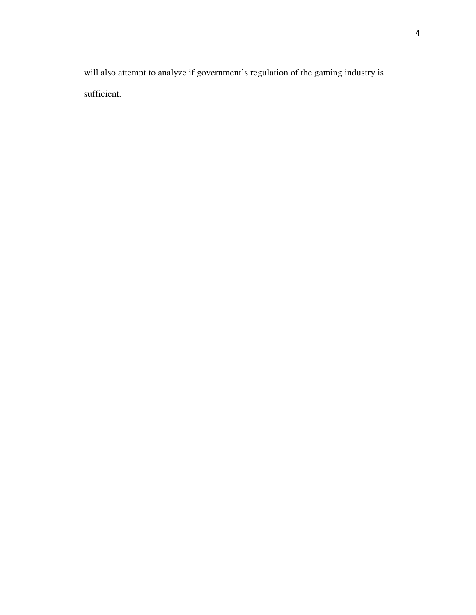will also attempt to analyze if government's regulation of the gaming industry is sufficient.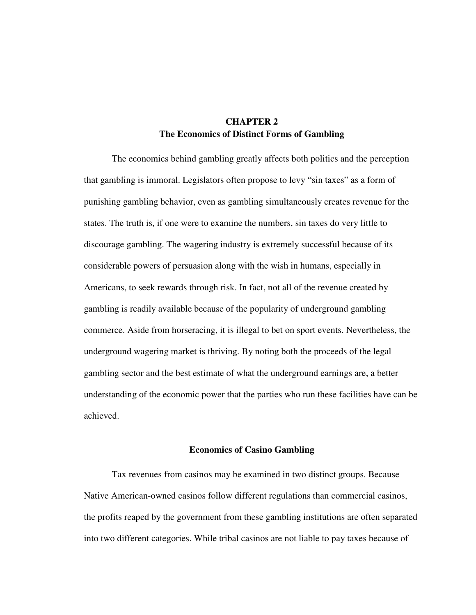## **CHAPTER 2 The Economics of Distinct Forms of Gambling**

 The economics behind gambling greatly affects both politics and the perception that gambling is immoral. Legislators often propose to levy "sin taxes" as a form of punishing gambling behavior, even as gambling simultaneously creates revenue for the states. The truth is, if one were to examine the numbers, sin taxes do very little to discourage gambling. The wagering industry is extremely successful because of its considerable powers of persuasion along with the wish in humans, especially in Americans, to seek rewards through risk. In fact, not all of the revenue created by gambling is readily available because of the popularity of underground gambling commerce. Aside from horseracing, it is illegal to bet on sport events. Nevertheless, the underground wagering market is thriving. By noting both the proceeds of the legal gambling sector and the best estimate of what the underground earnings are, a better understanding of the economic power that the parties who run these facilities have can be achieved.

## **Economics of Casino Gambling**

 Tax revenues from casinos may be examined in two distinct groups. Because Native American-owned casinos follow different regulations than commercial casinos, the profits reaped by the government from these gambling institutions are often separated into two different categories. While tribal casinos are not liable to pay taxes because of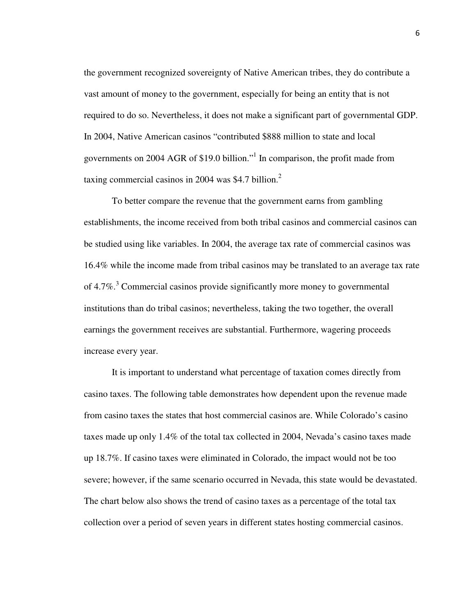the government recognized sovereignty of Native American tribes, they do contribute a vast amount of money to the government, especially for being an entity that is not required to do so. Nevertheless, it does not make a significant part of governmental GDP. In 2004, Native American casinos "contributed \$888 million to state and local governments on 2004 AGR of \$19.0 billion."<sup>1</sup> In comparison, the profit made from taxing commercial casinos in 2004 was \$4.7 billion. $<sup>2</sup>$ </sup>

 To better compare the revenue that the government earns from gambling establishments, the income received from both tribal casinos and commercial casinos can be studied using like variables. In 2004, the average tax rate of commercial casinos was 16.4% while the income made from tribal casinos may be translated to an average tax rate of 4.7%.<sup>3</sup> Commercial casinos provide significantly more money to governmental institutions than do tribal casinos; nevertheless, taking the two together, the overall earnings the government receives are substantial. Furthermore, wagering proceeds increase every year.

 It is important to understand what percentage of taxation comes directly from casino taxes. The following table demonstrates how dependent upon the revenue made from casino taxes the states that host commercial casinos are. While Colorado's casino taxes made up only 1.4% of the total tax collected in 2004, Nevada's casino taxes made up 18.7%. If casino taxes were eliminated in Colorado, the impact would not be too severe; however, if the same scenario occurred in Nevada, this state would be devastated. The chart below also shows the trend of casino taxes as a percentage of the total tax collection over a period of seven years in different states hosting commercial casinos.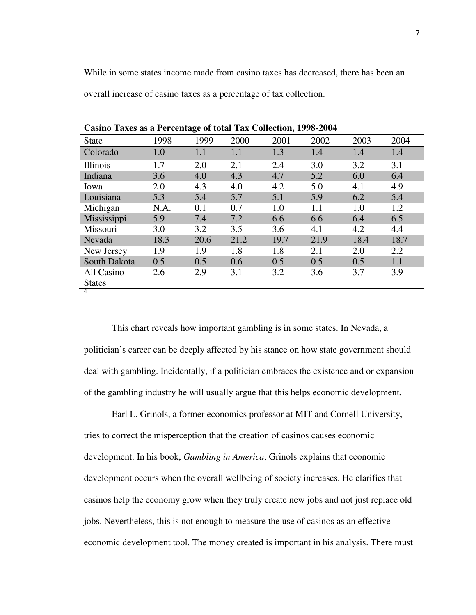While in some states income made from casino taxes has decreased, there has been an overall increase of casino taxes as a percentage of tax collection.

| <b>State</b>  | 1998 | 1999 | 2000 | 2001 | 2002 | 2003 | 2004 |
|---------------|------|------|------|------|------|------|------|
| Colorado      | 1.0  | 1.1  | 1.1  | 1.3  | 1.4  | 1.4  | 1.4  |
| Illinois      | 1.7  | 2.0  | 2.1  | 2.4  | 3.0  | 3.2  | 3.1  |
| Indiana       | 3.6  | 4.0  | 4.3  | 4.7  | 5.2  | 6.0  | 6.4  |
| Iowa          | 2.0  | 4.3  | 4.0  | 4.2  | 5.0  | 4.1  | 4.9  |
| Louisiana     | 5.3  | 5.4  | 5.7  | 5.1  | 5.9  | 6.2  | 5.4  |
| Michigan      | N.A. | 0.1  | 0.7  | 1.0  | 1.1  | 1.0  | 1.2  |
| Mississippi   | 5.9  | 7.4  | 7.2  | 6.6  | 6.6  | 6.4  | 6.5  |
| Missouri      | 3.0  | 3.2  | 3.5  | 3.6  | 4.1  | 4.2  | 4.4  |
| Nevada        | 18.3 | 20.6 | 21.2 | 19.7 | 21.9 | 18.4 | 18.7 |
| New Jersey    | 1.9  | 1.9  | 1.8  | 1.8  | 2.1  | 2.0  | 2.2  |
| South Dakota  | 0.5  | 0.5  | 0.6  | 0.5  | 0.5  | 0.5  | 1.1  |
| All Casino    | 2.6  | 2.9  | 3.1  | 3.2  | 3.6  | 3.7  | 3.9  |
| <b>States</b> |      |      |      |      |      |      |      |
| 4             |      |      |      |      |      |      |      |

**Casino Taxes as a Percentage of total Tax Collection, 1998-2004** 

 This chart reveals how important gambling is in some states. In Nevada, a politician's career can be deeply affected by his stance on how state government should deal with gambling. Incidentally, if a politician embraces the existence and or expansion of the gambling industry he will usually argue that this helps economic development.

 Earl L. Grinols, a former economics professor at MIT and Cornell University, tries to correct the misperception that the creation of casinos causes economic development. In his book, *Gambling in America*, Grinols explains that economic development occurs when the overall wellbeing of society increases. He clarifies that casinos help the economy grow when they truly create new jobs and not just replace old jobs. Nevertheless, this is not enough to measure the use of casinos as an effective economic development tool. The money created is important in his analysis. There must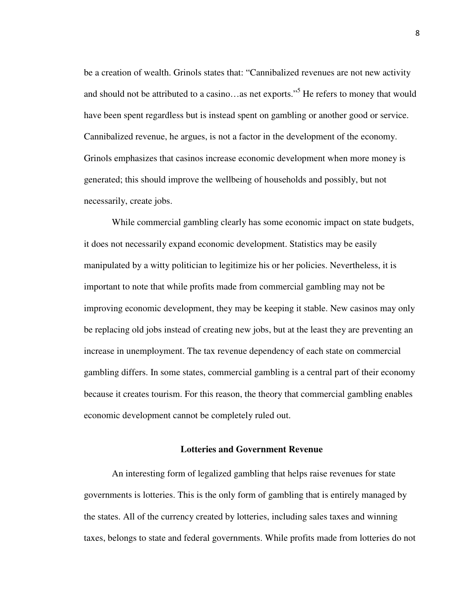be a creation of wealth. Grinols states that: "Cannibalized revenues are not new activity and should not be attributed to a casino...as net exports."<sup>5</sup> He refers to money that would have been spent regardless but is instead spent on gambling or another good or service. Cannibalized revenue, he argues, is not a factor in the development of the economy. Grinols emphasizes that casinos increase economic development when more money is generated; this should improve the wellbeing of households and possibly, but not necessarily, create jobs.

 While commercial gambling clearly has some economic impact on state budgets, it does not necessarily expand economic development. Statistics may be easily manipulated by a witty politician to legitimize his or her policies. Nevertheless, it is important to note that while profits made from commercial gambling may not be improving economic development, they may be keeping it stable. New casinos may only be replacing old jobs instead of creating new jobs, but at the least they are preventing an increase in unemployment. The tax revenue dependency of each state on commercial gambling differs. In some states, commercial gambling is a central part of their economy because it creates tourism. For this reason, the theory that commercial gambling enables economic development cannot be completely ruled out.

## **Lotteries and Government Revenue**

 An interesting form of legalized gambling that helps raise revenues for state governments is lotteries. This is the only form of gambling that is entirely managed by the states. All of the currency created by lotteries, including sales taxes and winning taxes, belongs to state and federal governments. While profits made from lotteries do not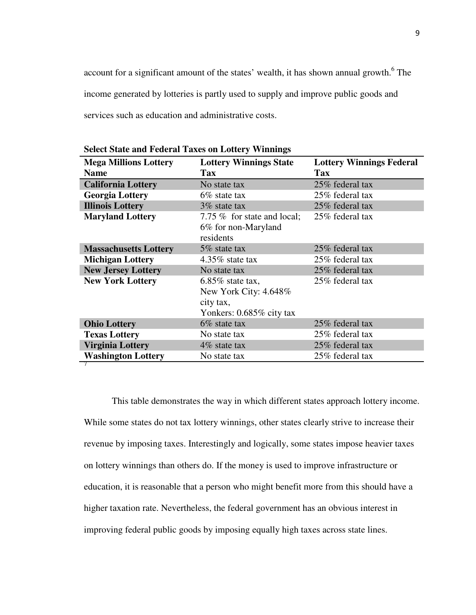account for a significant amount of the states' wealth, it has shown annual growth.<sup>6</sup> The income generated by lotteries is partly used to supply and improve public goods and services such as education and administrative costs.

| <b>Mega Millions Lottery</b> | <b>Lottery Winnings State</b>                                                         | <b>Lottery Winnings Federal</b> |  |
|------------------------------|---------------------------------------------------------------------------------------|---------------------------------|--|
| <b>Name</b>                  | <b>Tax</b>                                                                            | <b>Tax</b>                      |  |
| <b>California Lottery</b>    | No state tax                                                                          | 25% federal tax                 |  |
| <b>Georgia Lottery</b>       | $6\%$ state tax                                                                       | 25% federal tax                 |  |
| <b>Illinois Lottery</b>      | 3\% state tax                                                                         | 25% federal tax                 |  |
| <b>Maryland Lottery</b>      | 7.75 % for state and local;<br>6% for non-Maryland<br>residents                       | 25% federal tax                 |  |
| <b>Massachusetts Lottery</b> | 5\% state tax                                                                         | 25% federal tax                 |  |
| <b>Michigan Lottery</b>      | 4.35\% state tax                                                                      | 25% federal tax                 |  |
| <b>New Jersey Lottery</b>    | No state tax                                                                          | 25% federal tax                 |  |
| <b>New York Lottery</b>      | $6.85\%$ state tax,<br>New York City: 4.648%<br>city tax,<br>Yonkers: 0.685% city tax | 25% federal tax                 |  |
| <b>Ohio Lottery</b>          | $6\%$ state tax                                                                       | 25% federal tax                 |  |
| <b>Texas Lottery</b>         | No state tax                                                                          | 25% federal tax                 |  |
| <b>Virginia Lottery</b>      | $4\%$ state tax                                                                       | 25% federal tax                 |  |
| <b>Washington Lottery</b>    | No state tax                                                                          | 25% federal tax                 |  |
|                              |                                                                                       |                                 |  |

**Select State and Federal Taxes on Lottery Winnings** 

This table demonstrates the way in which different states approach lottery income. While some states do not tax lottery winnings, other states clearly strive to increase their revenue by imposing taxes. Interestingly and logically, some states impose heavier taxes on lottery winnings than others do. If the money is used to improve infrastructure or education, it is reasonable that a person who might benefit more from this should have a higher taxation rate. Nevertheless, the federal government has an obvious interest in improving federal public goods by imposing equally high taxes across state lines.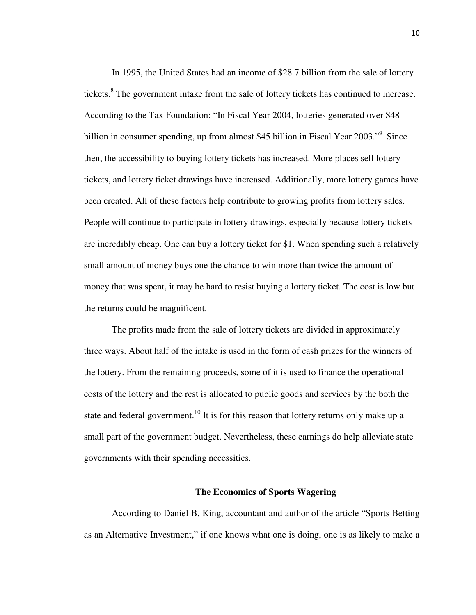In 1995, the United States had an income of \$28.7 billion from the sale of lottery tickets.<sup>8</sup> The government intake from the sale of lottery tickets has continued to increase. According to the Tax Foundation: "In Fiscal Year 2004, lotteries generated over \$48 billion in consumer spending, up from almost \$45 billion in Fiscal Year 2003."<sup>9</sup> Since then, the accessibility to buying lottery tickets has increased. More places sell lottery tickets, and lottery ticket drawings have increased. Additionally, more lottery games have been created. All of these factors help contribute to growing profits from lottery sales. People will continue to participate in lottery drawings, especially because lottery tickets are incredibly cheap. One can buy a lottery ticket for \$1. When spending such a relatively small amount of money buys one the chance to win more than twice the amount of money that was spent, it may be hard to resist buying a lottery ticket. The cost is low but the returns could be magnificent.

 The profits made from the sale of lottery tickets are divided in approximately three ways. About half of the intake is used in the form of cash prizes for the winners of the lottery. From the remaining proceeds, some of it is used to finance the operational costs of the lottery and the rest is allocated to public goods and services by the both the state and federal government.<sup>10</sup> It is for this reason that lottery returns only make up a small part of the government budget. Nevertheless, these earnings do help alleviate state governments with their spending necessities.

#### **The Economics of Sports Wagering**

According to Daniel B. King, accountant and author of the article "Sports Betting as an Alternative Investment," if one knows what one is doing, one is as likely to make a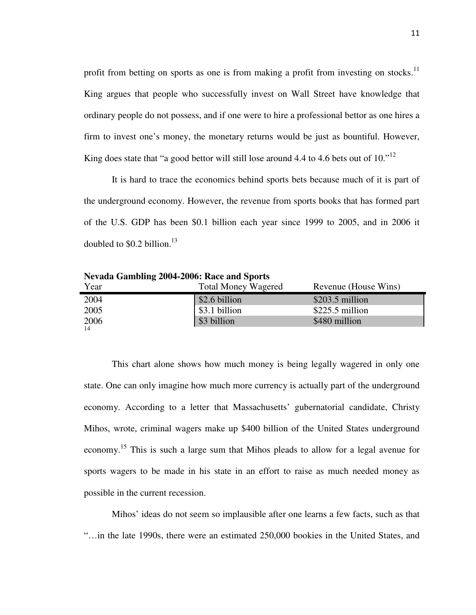profit from betting on sports as one is from making a profit from investing on stocks.<sup>11</sup> King argues that people who successfully invest on Wall Street have knowledge that ordinary people do not possess, and if one were to hire a professional bettor as one hires a firm to invest one's money, the monetary returns would be just as bountiful. However, King does state that "a good bettor will still lose around 4.4 to 4.6 bets out of  $10.^{12}$ 

 It is hard to trace the economics behind sports bets because much of it is part of the underground economy. However, the revenue from sports books that has formed part of the U.S. GDP has been \$0.1 billion each year since 1999 to 2005, and in 2006 it doubled to  $$0.2$  billion.<sup>13</sup>

**Nevada Gambling 2004-2006: Race and Sports** 

| Year | <b>Total Money Wagered</b> | Revenue (House Wins) |
|------|----------------------------|----------------------|
| 2004 | \$2.6 billion              | $$203.5$ million     |
| 2005 | \$3.1 billion              | $$225.5$ million     |
| 2006 | \$3 billion                | \$480 million        |
| 14   |                            |                      |

This chart alone shows how much money is being legally wagered in only one state. One can only imagine how much more currency is actually part of the underground economy. According to a letter that Massachusetts' gubernatorial candidate, Christy Mihos, wrote, criminal wagers make up \$400 billion of the United States underground economy.<sup>15</sup> This is such a large sum that Mihos pleads to allow for a legal avenue for sports wagers to be made in his state in an effort to raise as much needed money as possible in the current recession.

Mihos' ideas do not seem so implausible after one learns a few facts, such as that "…in the late 1990s, there were an estimated 250,000 bookies in the United States, and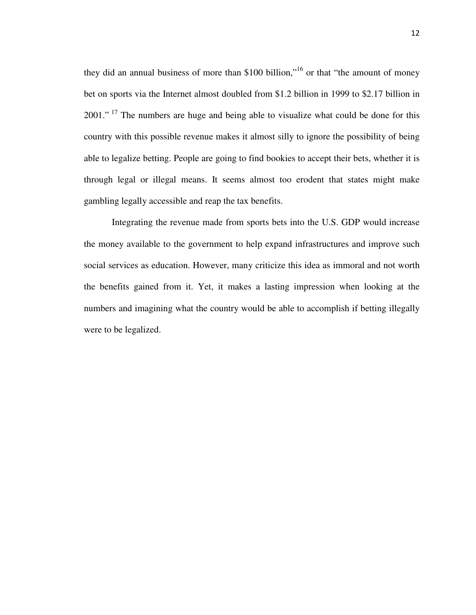they did an annual business of more than \$100 billion,"<sup>16</sup> or that "the amount of money bet on sports via the Internet almost doubled from \$1.2 billion in 1999 to \$2.17 billion in 2001."<sup>17</sup> The numbers are huge and being able to visualize what could be done for this country with this possible revenue makes it almost silly to ignore the possibility of being able to legalize betting. People are going to find bookies to accept their bets, whether it is through legal or illegal means. It seems almost too erodent that states might make gambling legally accessible and reap the tax benefits.

Integrating the revenue made from sports bets into the U.S. GDP would increase the money available to the government to help expand infrastructures and improve such social services as education. However, many criticize this idea as immoral and not worth the benefits gained from it. Yet, it makes a lasting impression when looking at the numbers and imagining what the country would be able to accomplish if betting illegally were to be legalized.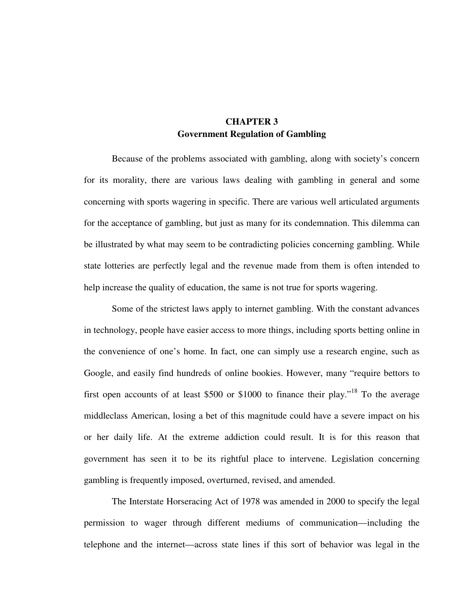## **CHAPTER 3 Government Regulation of Gambling**

Because of the problems associated with gambling, along with society's concern for its morality, there are various laws dealing with gambling in general and some concerning with sports wagering in specific. There are various well articulated arguments for the acceptance of gambling, but just as many for its condemnation. This dilemma can be illustrated by what may seem to be contradicting policies concerning gambling. While state lotteries are perfectly legal and the revenue made from them is often intended to help increase the quality of education, the same is not true for sports wagering.

 Some of the strictest laws apply to internet gambling. With the constant advances in technology, people have easier access to more things, including sports betting online in the convenience of one's home. In fact, one can simply use a research engine, such as Google, and easily find hundreds of online bookies. However, many "require bettors to first open accounts of at least \$500 or \$1000 to finance their play."<sup>18</sup> To the average middleclass American, losing a bet of this magnitude could have a severe impact on his or her daily life. At the extreme addiction could result. It is for this reason that government has seen it to be its rightful place to intervene. Legislation concerning gambling is frequently imposed, overturned, revised, and amended.

 The Interstate Horseracing Act of 1978 was amended in 2000 to specify the legal permission to wager through different mediums of communication—including the telephone and the internet—across state lines if this sort of behavior was legal in the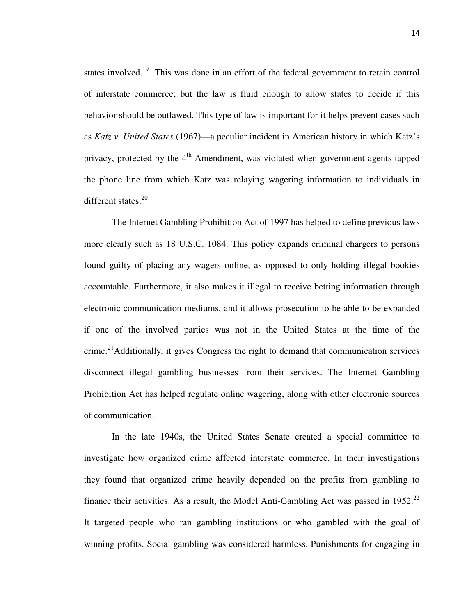states involved.<sup>19</sup> This was done in an effort of the federal government to retain control of interstate commerce; but the law is fluid enough to allow states to decide if this behavior should be outlawed. This type of law is important for it helps prevent cases such as *Katz v. United States* (1967)—a peculiar incident in American history in which Katz's privacy, protected by the  $4<sup>th</sup>$  Amendment, was violated when government agents tapped the phone line from which Katz was relaying wagering information to individuals in different states. $20$ 

 The Internet Gambling Prohibition Act of 1997 has helped to define previous laws more clearly such as 18 U.S.C. 1084. This policy expands criminal chargers to persons found guilty of placing any wagers online, as opposed to only holding illegal bookies accountable. Furthermore, it also makes it illegal to receive betting information through electronic communication mediums, and it allows prosecution to be able to be expanded if one of the involved parties was not in the United States at the time of the crime.<sup>21</sup>Additionally, it gives Congress the right to demand that communication services disconnect illegal gambling businesses from their services. The Internet Gambling Prohibition Act has helped regulate online wagering, along with other electronic sources of communication.

In the late 1940s, the United States Senate created a special committee to investigate how organized crime affected interstate commerce. In their investigations they found that organized crime heavily depended on the profits from gambling to finance their activities. As a result, the Model Anti-Gambling Act was passed in  $1952<sup>22</sup>$ It targeted people who ran gambling institutions or who gambled with the goal of winning profits. Social gambling was considered harmless. Punishments for engaging in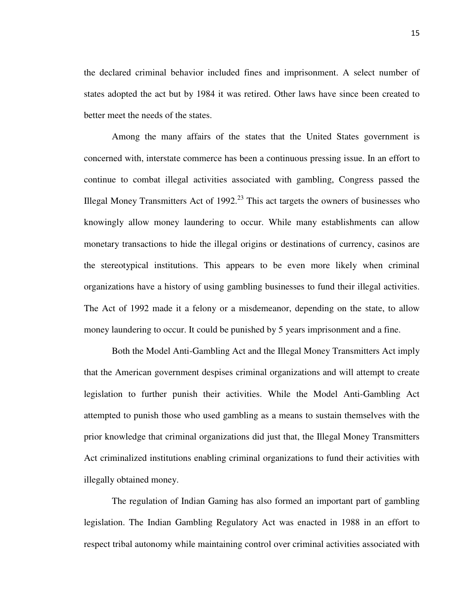the declared criminal behavior included fines and imprisonment. A select number of states adopted the act but by 1984 it was retired. Other laws have since been created to better meet the needs of the states.

 Among the many affairs of the states that the United States government is concerned with, interstate commerce has been a continuous pressing issue. In an effort to continue to combat illegal activities associated with gambling, Congress passed the Illegal Money Transmitters Act of  $1992<sup>23</sup>$  This act targets the owners of businesses who knowingly allow money laundering to occur. While many establishments can allow monetary transactions to hide the illegal origins or destinations of currency, casinos are the stereotypical institutions. This appears to be even more likely when criminal organizations have a history of using gambling businesses to fund their illegal activities. The Act of 1992 made it a felony or a misdemeanor, depending on the state, to allow money laundering to occur. It could be punished by 5 years imprisonment and a fine.

 Both the Model Anti-Gambling Act and the Illegal Money Transmitters Act imply that the American government despises criminal organizations and will attempt to create legislation to further punish their activities. While the Model Anti-Gambling Act attempted to punish those who used gambling as a means to sustain themselves with the prior knowledge that criminal organizations did just that, the Illegal Money Transmitters Act criminalized institutions enabling criminal organizations to fund their activities with illegally obtained money.

 The regulation of Indian Gaming has also formed an important part of gambling legislation. The Indian Gambling Regulatory Act was enacted in 1988 in an effort to respect tribal autonomy while maintaining control over criminal activities associated with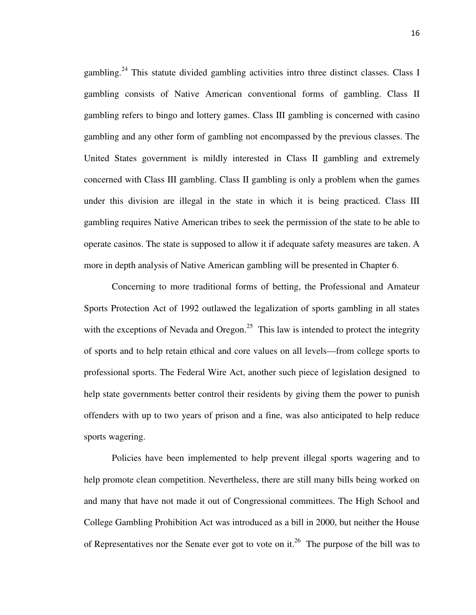gambling.<sup>24</sup> This statute divided gambling activities intro three distinct classes. Class I gambling consists of Native American conventional forms of gambling. Class II gambling refers to bingo and lottery games. Class III gambling is concerned with casino gambling and any other form of gambling not encompassed by the previous classes. The United States government is mildly interested in Class II gambling and extremely concerned with Class III gambling. Class II gambling is only a problem when the games under this division are illegal in the state in which it is being practiced. Class III gambling requires Native American tribes to seek the permission of the state to be able to operate casinos. The state is supposed to allow it if adequate safety measures are taken. A more in depth analysis of Native American gambling will be presented in Chapter 6.

 Concerning to more traditional forms of betting, the Professional and Amateur Sports Protection Act of 1992 outlawed the legalization of sports gambling in all states with the exceptions of Nevada and Oregon.<sup>25</sup> This law is intended to protect the integrity of sports and to help retain ethical and core values on all levels—from college sports to professional sports. The Federal Wire Act, another such piece of legislation designed to help state governments better control their residents by giving them the power to punish offenders with up to two years of prison and a fine, was also anticipated to help reduce sports wagering.

 Policies have been implemented to help prevent illegal sports wagering and to help promote clean competition. Nevertheless, there are still many bills being worked on and many that have not made it out of Congressional committees. The High School and College Gambling Prohibition Act was introduced as a bill in 2000, but neither the House of Representatives nor the Senate ever got to vote on it.<sup>26</sup> The purpose of the bill was to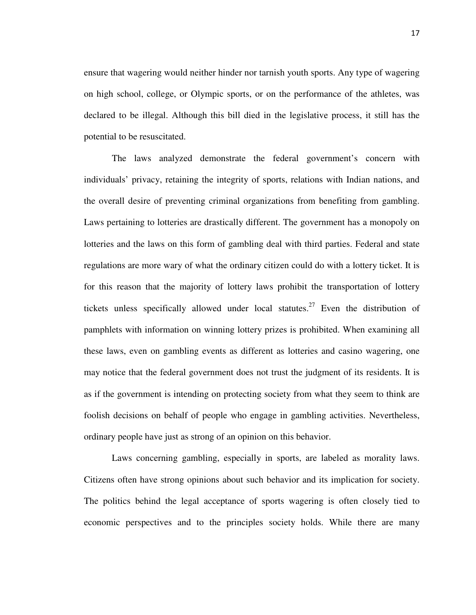ensure that wagering would neither hinder nor tarnish youth sports. Any type of wagering on high school, college, or Olympic sports, or on the performance of the athletes, was declared to be illegal. Although this bill died in the legislative process, it still has the potential to be resuscitated.

 The laws analyzed demonstrate the federal government's concern with individuals' privacy, retaining the integrity of sports, relations with Indian nations, and the overall desire of preventing criminal organizations from benefiting from gambling. Laws pertaining to lotteries are drastically different. The government has a monopoly on lotteries and the laws on this form of gambling deal with third parties. Federal and state regulations are more wary of what the ordinary citizen could do with a lottery ticket. It is for this reason that the majority of lottery laws prohibit the transportation of lottery tickets unless specifically allowed under local statutes.<sup>27</sup> Even the distribution of pamphlets with information on winning lottery prizes is prohibited. When examining all these laws, even on gambling events as different as lotteries and casino wagering, one may notice that the federal government does not trust the judgment of its residents. It is as if the government is intending on protecting society from what they seem to think are foolish decisions on behalf of people who engage in gambling activities. Nevertheless, ordinary people have just as strong of an opinion on this behavior.

 Laws concerning gambling, especially in sports, are labeled as morality laws. Citizens often have strong opinions about such behavior and its implication for society. The politics behind the legal acceptance of sports wagering is often closely tied to economic perspectives and to the principles society holds. While there are many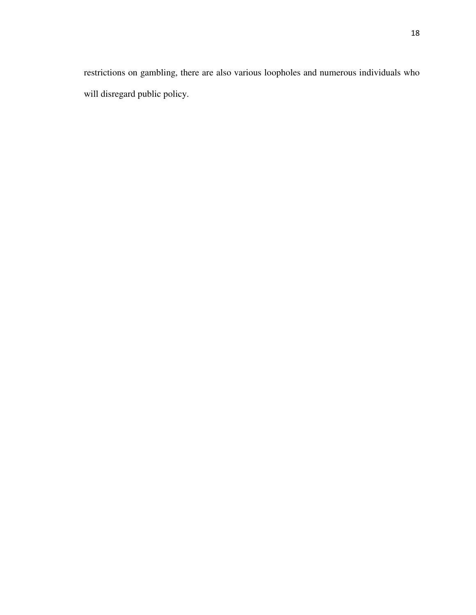restrictions on gambling, there are also various loopholes and numerous individuals who will disregard public policy.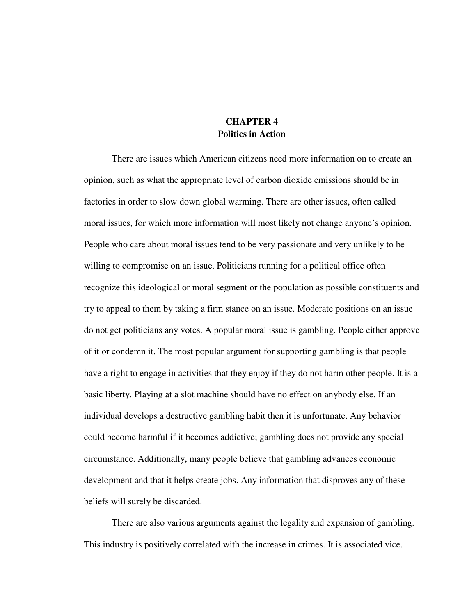## **CHAPTER 4 Politics in Action**

There are issues which American citizens need more information on to create an opinion, such as what the appropriate level of carbon dioxide emissions should be in factories in order to slow down global warming. There are other issues, often called moral issues, for which more information will most likely not change anyone's opinion. People who care about moral issues tend to be very passionate and very unlikely to be willing to compromise on an issue. Politicians running for a political office often recognize this ideological or moral segment or the population as possible constituents and try to appeal to them by taking a firm stance on an issue. Moderate positions on an issue do not get politicians any votes. A popular moral issue is gambling. People either approve of it or condemn it. The most popular argument for supporting gambling is that people have a right to engage in activities that they enjoy if they do not harm other people. It is a basic liberty. Playing at a slot machine should have no effect on anybody else. If an individual develops a destructive gambling habit then it is unfortunate. Any behavior could become harmful if it becomes addictive; gambling does not provide any special circumstance. Additionally, many people believe that gambling advances economic development and that it helps create jobs. Any information that disproves any of these beliefs will surely be discarded.

 There are also various arguments against the legality and expansion of gambling. This industry is positively correlated with the increase in crimes. It is associated vice.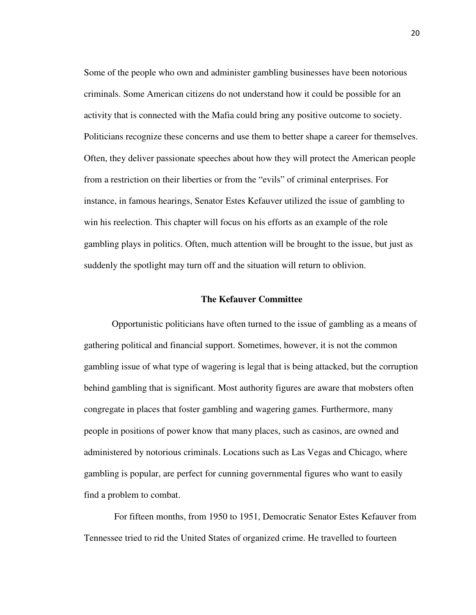Some of the people who own and administer gambling businesses have been notorious criminals. Some American citizens do not understand how it could be possible for an activity that is connected with the Mafia could bring any positive outcome to society. Politicians recognize these concerns and use them to better shape a career for themselves. Often, they deliver passionate speeches about how they will protect the American people from a restriction on their liberties or from the "evils" of criminal enterprises. For instance, in famous hearings, Senator Estes Kefauver utilized the issue of gambling to win his reelection. This chapter will focus on his efforts as an example of the role gambling plays in politics. Often, much attention will be brought to the issue, but just as suddenly the spotlight may turn off and the situation will return to oblivion.

## **The Kefauver Committee**

Opportunistic politicians have often turned to the issue of gambling as a means of gathering political and financial support. Sometimes, however, it is not the common gambling issue of what type of wagering is legal that is being attacked, but the corruption behind gambling that is significant. Most authority figures are aware that mobsters often congregate in places that foster gambling and wagering games. Furthermore, many people in positions of power know that many places, such as casinos, are owned and administered by notorious criminals. Locations such as Las Vegas and Chicago, where gambling is popular, are perfect for cunning governmental figures who want to easily find a problem to combat.

 For fifteen months, from 1950 to 1951, Democratic Senator Estes Kefauver from Tennessee tried to rid the United States of organized crime. He travelled to fourteen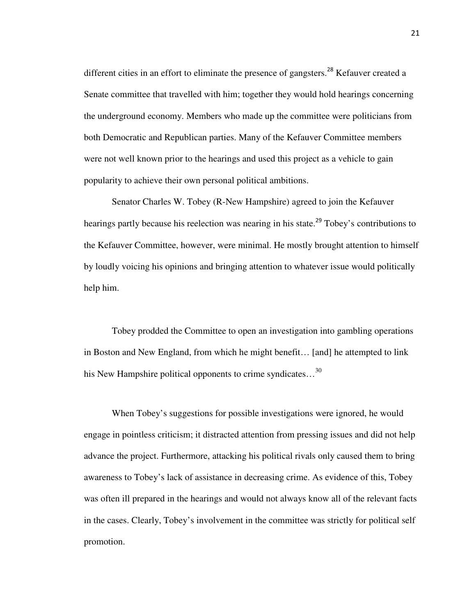different cities in an effort to eliminate the presence of gangsters.<sup>28</sup> Kefauver created a Senate committee that travelled with him; together they would hold hearings concerning the underground economy. Members who made up the committee were politicians from both Democratic and Republican parties. Many of the Kefauver Committee members were not well known prior to the hearings and used this project as a vehicle to gain popularity to achieve their own personal political ambitions.

Senator Charles W. Tobey (R-New Hampshire) agreed to join the Kefauver hearings partly because his reelection was nearing in his state.<sup>29</sup> Tobey's contributions to the Kefauver Committee, however, were minimal. He mostly brought attention to himself by loudly voicing his opinions and bringing attention to whatever issue would politically help him.

Tobey prodded the Committee to open an investigation into gambling operations in Boston and New England, from which he might benefit… [and] he attempted to link his New Hampshire political opponents to crime syndicates...<sup>30</sup>

When Tobey's suggestions for possible investigations were ignored, he would engage in pointless criticism; it distracted attention from pressing issues and did not help advance the project. Furthermore, attacking his political rivals only caused them to bring awareness to Tobey's lack of assistance in decreasing crime. As evidence of this, Tobey was often ill prepared in the hearings and would not always know all of the relevant facts in the cases. Clearly, Tobey's involvement in the committee was strictly for political self promotion.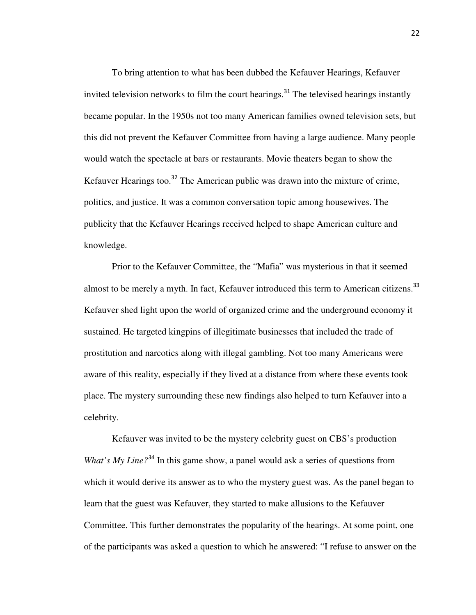To bring attention to what has been dubbed the Kefauver Hearings, Kefauver invited television networks to film the court hearings.<sup>31</sup> The televised hearings instantly became popular. In the 1950s not too many American families owned television sets, but this did not prevent the Kefauver Committee from having a large audience. Many people would watch the spectacle at bars or restaurants. Movie theaters began to show the Kefauver Hearings too.<sup>32</sup> The American public was drawn into the mixture of crime, politics, and justice. It was a common conversation topic among housewives. The publicity that the Kefauver Hearings received helped to shape American culture and knowledge.

Prior to the Kefauver Committee, the "Mafia" was mysterious in that it seemed almost to be merely a myth. In fact, Kefauver introduced this term to American citizens.<sup>33</sup> Kefauver shed light upon the world of organized crime and the underground economy it sustained. He targeted kingpins of illegitimate businesses that included the trade of prostitution and narcotics along with illegal gambling. Not too many Americans were aware of this reality, especially if they lived at a distance from where these events took place. The mystery surrounding these new findings also helped to turn Kefauver into a celebrity.

Kefauver was invited to be the mystery celebrity guest on CBS's production *What's My Line?*<sup>34</sup> In this game show, a panel would ask a series of questions from which it would derive its answer as to who the mystery guest was. As the panel began to learn that the guest was Kefauver, they started to make allusions to the Kefauver Committee. This further demonstrates the popularity of the hearings. At some point, one of the participants was asked a question to which he answered: "I refuse to answer on the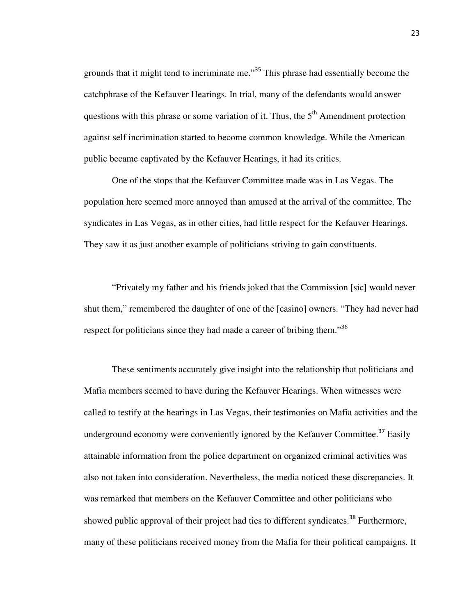grounds that it might tend to incriminate me."<sup>35</sup> This phrase had essentially become the catchphrase of the Kefauver Hearings. In trial, many of the defendants would answer questions with this phrase or some variation of it. Thus, the  $5<sup>th</sup>$  Amendment protection against self incrimination started to become common knowledge. While the American public became captivated by the Kefauver Hearings, it had its critics.

One of the stops that the Kefauver Committee made was in Las Vegas. The population here seemed more annoyed than amused at the arrival of the committee. The syndicates in Las Vegas, as in other cities, had little respect for the Kefauver Hearings. They saw it as just another example of politicians striving to gain constituents.

"Privately my father and his friends joked that the Commission [sic] would never shut them," remembered the daughter of one of the [casino] owners. "They had never had respect for politicians since they had made a career of bribing them."<sup>36</sup>

These sentiments accurately give insight into the relationship that politicians and Mafia members seemed to have during the Kefauver Hearings. When witnesses were called to testify at the hearings in Las Vegas, their testimonies on Mafia activities and the underground economy were conveniently ignored by the Kefauver Committee.<sup>37</sup> Easily attainable information from the police department on organized criminal activities was also not taken into consideration. Nevertheless, the media noticed these discrepancies. It was remarked that members on the Kefauver Committee and other politicians who showed public approval of their project had ties to different syndicates.<sup>38</sup> Furthermore, many of these politicians received money from the Mafia for their political campaigns. It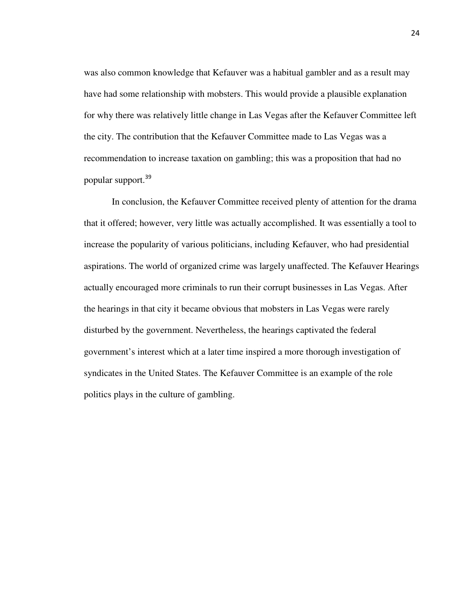was also common knowledge that Kefauver was a habitual gambler and as a result may have had some relationship with mobsters. This would provide a plausible explanation for why there was relatively little change in Las Vegas after the Kefauver Committee left the city. The contribution that the Kefauver Committee made to Las Vegas was a recommendation to increase taxation on gambling; this was a proposition that had no popular support.<sup>39</sup>

In conclusion, the Kefauver Committee received plenty of attention for the drama that it offered; however, very little was actually accomplished. It was essentially a tool to increase the popularity of various politicians, including Kefauver, who had presidential aspirations. The world of organized crime was largely unaffected. The Kefauver Hearings actually encouraged more criminals to run their corrupt businesses in Las Vegas. After the hearings in that city it became obvious that mobsters in Las Vegas were rarely disturbed by the government. Nevertheless, the hearings captivated the federal government's interest which at a later time inspired a more thorough investigation of syndicates in the United States. The Kefauver Committee is an example of the role politics plays in the culture of gambling.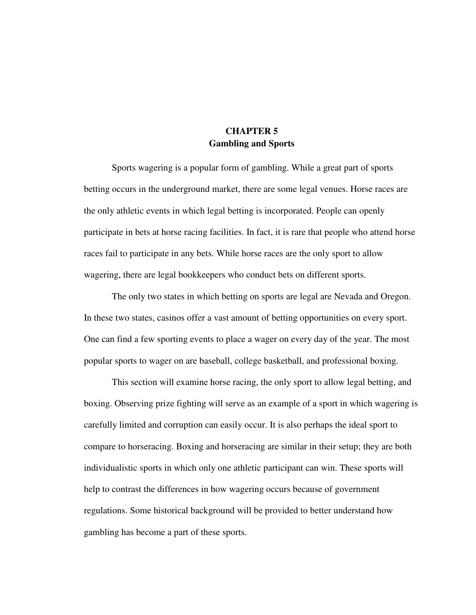## **CHAPTER 5 Gambling and Sports**

 Sports wagering is a popular form of gambling. While a great part of sports betting occurs in the underground market, there are some legal venues. Horse races are the only athletic events in which legal betting is incorporated. People can openly participate in bets at horse racing facilities. In fact, it is rare that people who attend horse races fail to participate in any bets. While horse races are the only sport to allow wagering, there are legal bookkeepers who conduct bets on different sports.

The only two states in which betting on sports are legal are Nevada and Oregon. In these two states, casinos offer a vast amount of betting opportunities on every sport. One can find a few sporting events to place a wager on every day of the year. The most popular sports to wager on are baseball, college basketball, and professional boxing.

This section will examine horse racing, the only sport to allow legal betting, and boxing. Observing prize fighting will serve as an example of a sport in which wagering is carefully limited and corruption can easily occur. It is also perhaps the ideal sport to compare to horseracing. Boxing and horseracing are similar in their setup; they are both individualistic sports in which only one athletic participant can win. These sports will help to contrast the differences in how wagering occurs because of government regulations. Some historical background will be provided to better understand how gambling has become a part of these sports.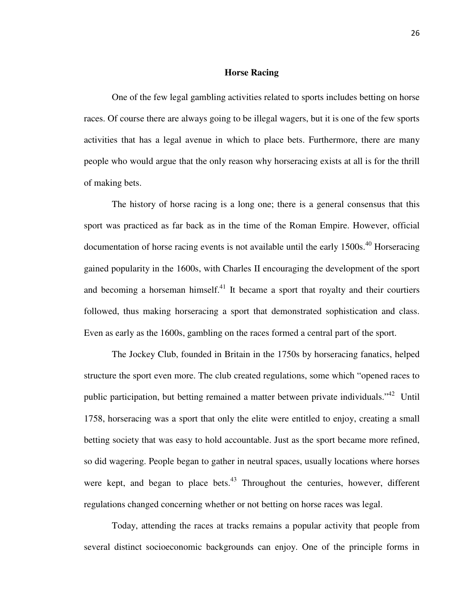## **Horse Racing**

 One of the few legal gambling activities related to sports includes betting on horse races. Of course there are always going to be illegal wagers, but it is one of the few sports activities that has a legal avenue in which to place bets. Furthermore, there are many people who would argue that the only reason why horseracing exists at all is for the thrill of making bets.

 The history of horse racing is a long one; there is a general consensus that this sport was practiced as far back as in the time of the Roman Empire. However, official documentation of horse racing events is not available until the early  $1500s$ .<sup>40</sup> Horseracing gained popularity in the 1600s, with Charles II encouraging the development of the sport and becoming a horseman himself. $41$  It became a sport that royalty and their courtiers followed, thus making horseracing a sport that demonstrated sophistication and class. Even as early as the 1600s, gambling on the races formed a central part of the sport.

 The Jockey Club, founded in Britain in the 1750s by horseracing fanatics, helped structure the sport even more. The club created regulations, some which "opened races to public participation, but betting remained a matter between private individuals."<sup>42</sup> Until 1758, horseracing was a sport that only the elite were entitled to enjoy, creating a small betting society that was easy to hold accountable. Just as the sport became more refined, so did wagering. People began to gather in neutral spaces, usually locations where horses were kept, and began to place bets. $43$  Throughout the centuries, however, different regulations changed concerning whether or not betting on horse races was legal.

 Today, attending the races at tracks remains a popular activity that people from several distinct socioeconomic backgrounds can enjoy. One of the principle forms in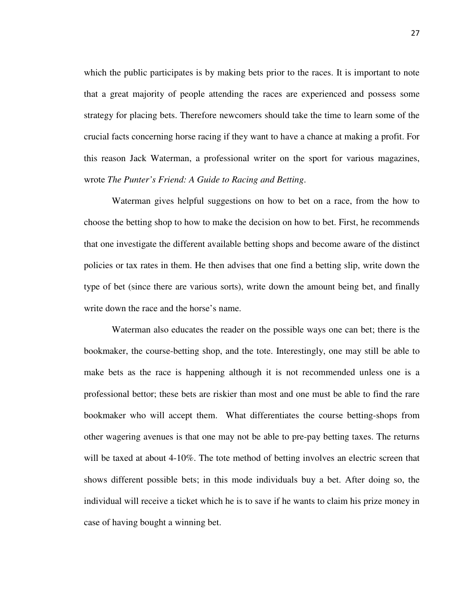which the public participates is by making bets prior to the races. It is important to note that a great majority of people attending the races are experienced and possess some strategy for placing bets. Therefore newcomers should take the time to learn some of the crucial facts concerning horse racing if they want to have a chance at making a profit. For this reason Jack Waterman, a professional writer on the sport for various magazines, wrote *The Punter's Friend: A Guide to Racing and Betting*.

 Waterman gives helpful suggestions on how to bet on a race, from the how to choose the betting shop to how to make the decision on how to bet. First, he recommends that one investigate the different available betting shops and become aware of the distinct policies or tax rates in them. He then advises that one find a betting slip, write down the type of bet (since there are various sorts), write down the amount being bet, and finally write down the race and the horse's name.

 Waterman also educates the reader on the possible ways one can bet; there is the bookmaker, the course-betting shop, and the tote. Interestingly, one may still be able to make bets as the race is happening although it is not recommended unless one is a professional bettor; these bets are riskier than most and one must be able to find the rare bookmaker who will accept them. What differentiates the course betting-shops from other wagering avenues is that one may not be able to pre-pay betting taxes. The returns will be taxed at about 4-10%. The tote method of betting involves an electric screen that shows different possible bets; in this mode individuals buy a bet. After doing so, the individual will receive a ticket which he is to save if he wants to claim his prize money in case of having bought a winning bet.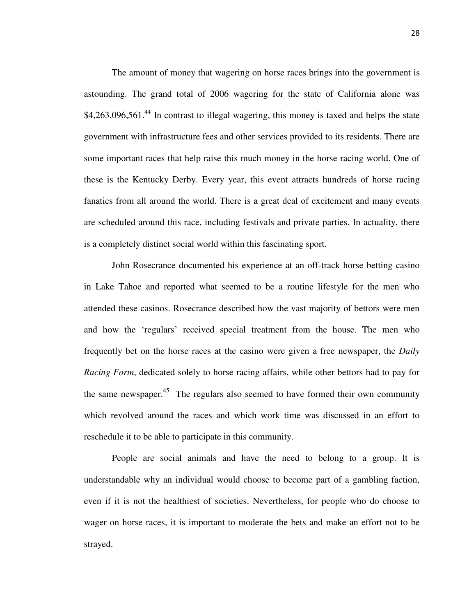The amount of money that wagering on horse races brings into the government is astounding. The grand total of 2006 wagering for the state of California alone was  $$4,263,096,561<sup>44</sup>$  In contrast to illegal wagering, this money is taxed and helps the state government with infrastructure fees and other services provided to its residents. There are some important races that help raise this much money in the horse racing world. One of these is the Kentucky Derby. Every year, this event attracts hundreds of horse racing fanatics from all around the world. There is a great deal of excitement and many events are scheduled around this race, including festivals and private parties. In actuality, there is a completely distinct social world within this fascinating sport.

 John Rosecrance documented his experience at an off-track horse betting casino in Lake Tahoe and reported what seemed to be a routine lifestyle for the men who attended these casinos. Rosecrance described how the vast majority of bettors were men and how the 'regulars' received special treatment from the house. The men who frequently bet on the horse races at the casino were given a free newspaper, the *Daily Racing Form*, dedicated solely to horse racing affairs, while other bettors had to pay for the same newspaper. $45$  The regulars also seemed to have formed their own community which revolved around the races and which work time was discussed in an effort to reschedule it to be able to participate in this community.

 People are social animals and have the need to belong to a group. It is understandable why an individual would choose to become part of a gambling faction, even if it is not the healthiest of societies. Nevertheless, for people who do choose to wager on horse races, it is important to moderate the bets and make an effort not to be strayed.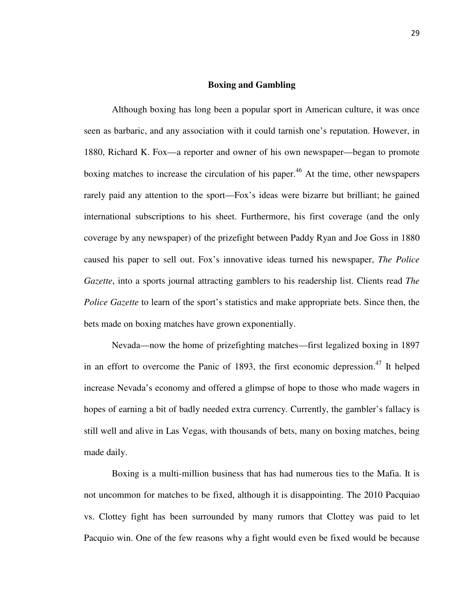## **Boxing and Gambling**

Although boxing has long been a popular sport in American culture, it was once seen as barbaric, and any association with it could tarnish one's reputation. However, in 1880, Richard K. Fox—a reporter and owner of his own newspaper—began to promote boxing matches to increase the circulation of his paper.<sup>46</sup> At the time, other newspapers rarely paid any attention to the sport—Fox's ideas were bizarre but brilliant; he gained international subscriptions to his sheet. Furthermore, his first coverage (and the only coverage by any newspaper) of the prizefight between Paddy Ryan and Joe Goss in 1880 caused his paper to sell out. Fox's innovative ideas turned his newspaper, *The Police Gazette*, into a sports journal attracting gamblers to his readership list. Clients read *The Police Gazette* to learn of the sport's statistics and make appropriate bets. Since then, the bets made on boxing matches have grown exponentially.

 Nevada—now the home of prizefighting matches—first legalized boxing in 1897 in an effort to overcome the Panic of 1893, the first economic depression.<sup>47</sup> It helped increase Nevada's economy and offered a glimpse of hope to those who made wagers in hopes of earning a bit of badly needed extra currency. Currently, the gambler's fallacy is still well and alive in Las Vegas, with thousands of bets, many on boxing matches, being made daily.

 Boxing is a multi-million business that has had numerous ties to the Mafia. It is not uncommon for matches to be fixed, although it is disappointing. The 2010 Pacquiao vs. Clottey fight has been surrounded by many rumors that Clottey was paid to let Pacquio win. One of the few reasons why a fight would even be fixed would be because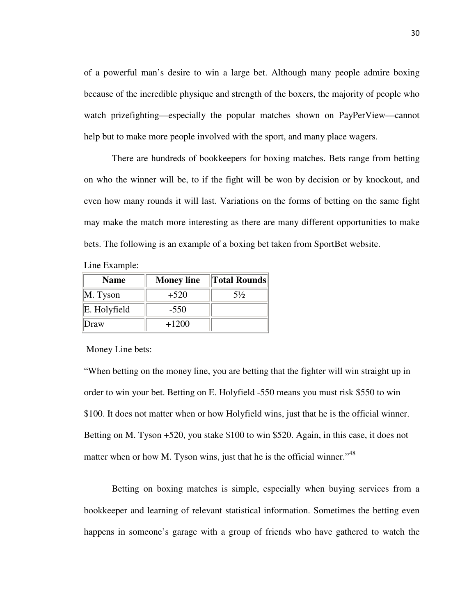of a powerful man's desire to win a large bet. Although many people admire boxing because of the incredible physique and strength of the boxers, the majority of people who watch prizefighting—especially the popular matches shown on PayPerView—cannot help but to make more people involved with the sport, and many place wagers.

 There are hundreds of bookkeepers for boxing matches. Bets range from betting on who the winner will be, to if the fight will be won by decision or by knockout, and even how many rounds it will last. Variations on the forms of betting on the same fight may make the match more interesting as there are many different opportunities to make bets. The following is an example of a boxing bet taken from SportBet website.

| Line Example: |  |
|---------------|--|
|---------------|--|

| <b>Name</b>  | <b>Money line</b> | <b>Total Rounds</b> |
|--------------|-------------------|---------------------|
| M. Tyson     | $+520$            | $5\frac{1}{2}$      |
| E. Holyfield | $-550$            |                     |
| Draw         | $+1200$           |                     |

Money Line bets:

"When betting on the money line, you are betting that the fighter will win straight up in order to win your bet. Betting on E. Holyfield -550 means you must risk \$550 to win \$100. It does not matter when or how Holyfield wins, just that he is the official winner. Betting on M. Tyson +520, you stake \$100 to win \$520. Again, in this case, it does not matter when or how M. Tyson wins, just that he is the official winner."<sup>48</sup>

 Betting on boxing matches is simple, especially when buying services from a bookkeeper and learning of relevant statistical information. Sometimes the betting even happens in someone's garage with a group of friends who have gathered to watch the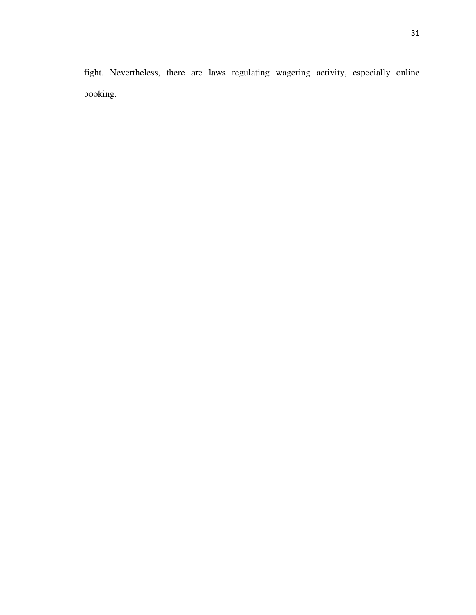fight. Nevertheless, there are laws regulating wagering activity, especially online booking.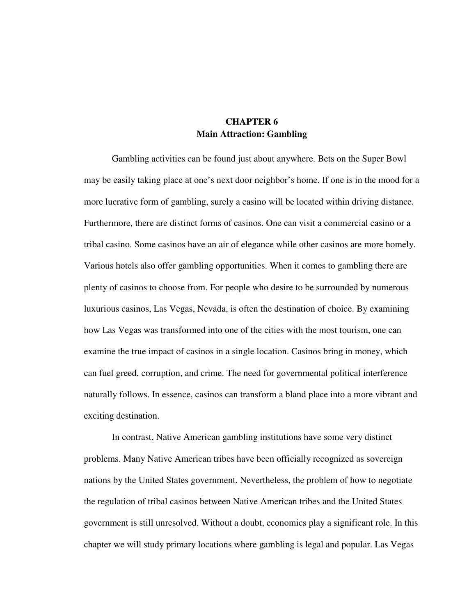## **CHAPTER 6 Main Attraction: Gambling**

 Gambling activities can be found just about anywhere. Bets on the Super Bowl may be easily taking place at one's next door neighbor's home. If one is in the mood for a more lucrative form of gambling, surely a casino will be located within driving distance. Furthermore, there are distinct forms of casinos. One can visit a commercial casino or a tribal casino. Some casinos have an air of elegance while other casinos are more homely. Various hotels also offer gambling opportunities. When it comes to gambling there are plenty of casinos to choose from. For people who desire to be surrounded by numerous luxurious casinos, Las Vegas, Nevada, is often the destination of choice. By examining how Las Vegas was transformed into one of the cities with the most tourism, one can examine the true impact of casinos in a single location. Casinos bring in money, which can fuel greed, corruption, and crime. The need for governmental political interference naturally follows. In essence, casinos can transform a bland place into a more vibrant and exciting destination.

 In contrast, Native American gambling institutions have some very distinct problems. Many Native American tribes have been officially recognized as sovereign nations by the United States government. Nevertheless, the problem of how to negotiate the regulation of tribal casinos between Native American tribes and the United States government is still unresolved. Without a doubt, economics play a significant role. In this chapter we will study primary locations where gambling is legal and popular. Las Vegas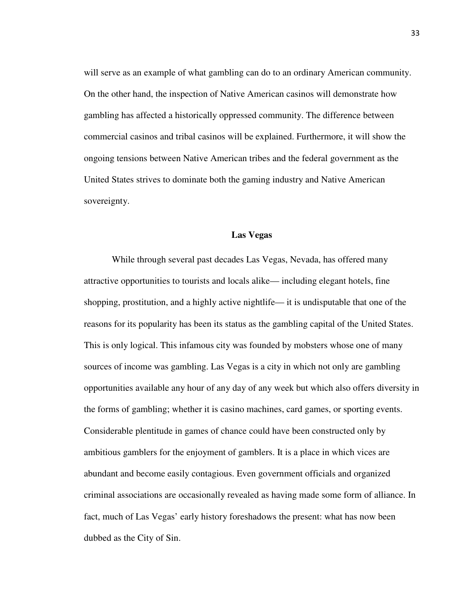will serve as an example of what gambling can do to an ordinary American community. On the other hand, the inspection of Native American casinos will demonstrate how gambling has affected a historically oppressed community. The difference between commercial casinos and tribal casinos will be explained. Furthermore, it will show the ongoing tensions between Native American tribes and the federal government as the United States strives to dominate both the gaming industry and Native American sovereignty.

## **Las Vegas**

 While through several past decades Las Vegas, Nevada, has offered many attractive opportunities to tourists and locals alike— including elegant hotels, fine shopping, prostitution, and a highly active nightlife— it is undisputable that one of the reasons for its popularity has been its status as the gambling capital of the United States. This is only logical. This infamous city was founded by mobsters whose one of many sources of income was gambling. Las Vegas is a city in which not only are gambling opportunities available any hour of any day of any week but which also offers diversity in the forms of gambling; whether it is casino machines, card games, or sporting events. Considerable plentitude in games of chance could have been constructed only by ambitious gamblers for the enjoyment of gamblers. It is a place in which vices are abundant and become easily contagious. Even government officials and organized criminal associations are occasionally revealed as having made some form of alliance. In fact, much of Las Vegas' early history foreshadows the present: what has now been dubbed as the City of Sin.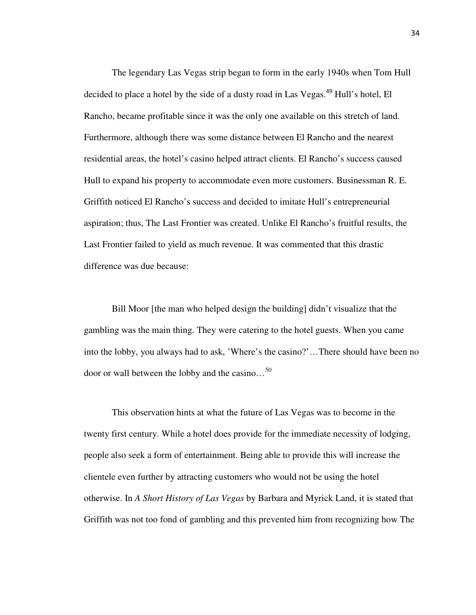The legendary Las Vegas strip began to form in the early 1940s when Tom Hull decided to place a hotel by the side of a dusty road in Las Vegas.<sup>49</sup> Hull's hotel, El Rancho, became profitable since it was the only one available on this stretch of land. Furthermore, although there was some distance between El Rancho and the nearest residential areas, the hotel's casino helped attract clients. El Rancho's success caused Hull to expand his property to accommodate even more customers. Businessman R. E. Griffith noticed El Rancho's success and decided to imitate Hull's entrepreneurial aspiration; thus, The Last Frontier was created. Unlike El Rancho's fruitful results, the Last Frontier failed to yield as much revenue. It was commented that this drastic difference was due because:

Bill Moor [the man who helped design the building] didn't visualize that the gambling was the main thing. They were catering to the hotel guests. When you came into the lobby, you always had to ask, 'Where's the casino?'…There should have been no door or wall between the lobby and the casino... $^{50}$ 

 This observation hints at what the future of Las Vegas was to become in the twenty first century. While a hotel does provide for the immediate necessity of lodging, people also seek a form of entertainment. Being able to provide this will increase the clientele even further by attracting customers who would not be using the hotel otherwise. In *A Short History of Las Vegas* by Barbara and Myrick Land, it is stated that Griffith was not too fond of gambling and this prevented him from recognizing how The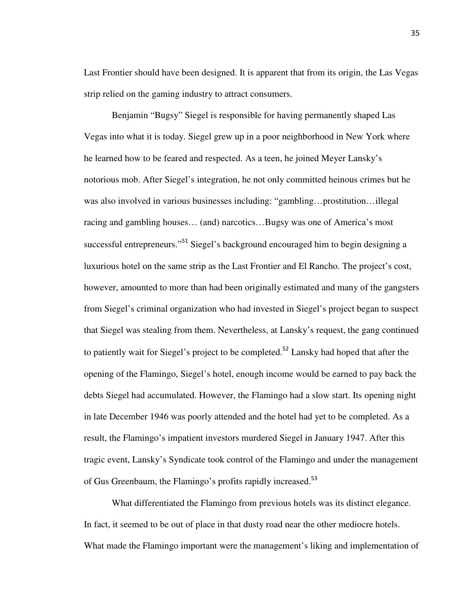Last Frontier should have been designed. It is apparent that from its origin, the Las Vegas strip relied on the gaming industry to attract consumers.

 Benjamin "Bugsy" Siegel is responsible for having permanently shaped Las Vegas into what it is today. Siegel grew up in a poor neighborhood in New York where he learned how to be feared and respected. As a teen, he joined Meyer Lansky's notorious mob. After Siegel's integration, he not only committed heinous crimes but he was also involved in various businesses including: "gambling…prostitution…illegal racing and gambling houses… (and) narcotics…Bugsy was one of America's most successful entrepreneurs."<sup>51</sup> Siegel's background encouraged him to begin designing a luxurious hotel on the same strip as the Last Frontier and El Rancho. The project's cost, however, amounted to more than had been originally estimated and many of the gangsters from Siegel's criminal organization who had invested in Siegel's project began to suspect that Siegel was stealing from them. Nevertheless, at Lansky's request, the gang continued to patiently wait for Siegel's project to be completed.<sup>52</sup> Lansky had hoped that after the opening of the Flamingo, Siegel's hotel, enough income would be earned to pay back the debts Siegel had accumulated. However, the Flamingo had a slow start. Its opening night in late December 1946 was poorly attended and the hotel had yet to be completed. As a result, the Flamingo's impatient investors murdered Siegel in January 1947. After this tragic event, Lansky's Syndicate took control of the Flamingo and under the management of Gus Greenbaum, the Flamingo's profits rapidly increased.<sup>53</sup>

 What differentiated the Flamingo from previous hotels was its distinct elegance. In fact, it seemed to be out of place in that dusty road near the other mediocre hotels. What made the Flamingo important were the management's liking and implementation of

35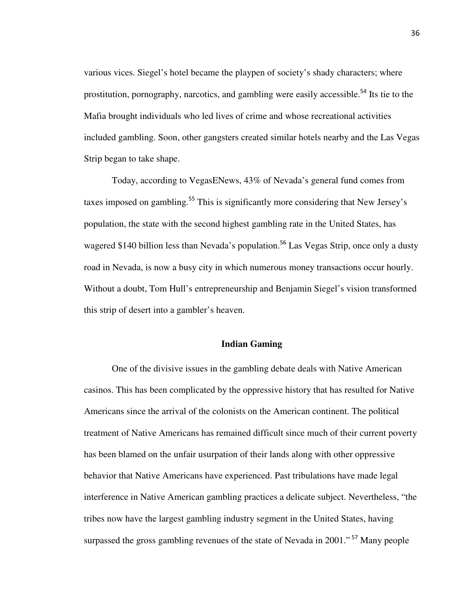various vices. Siegel's hotel became the playpen of society's shady characters; where prostitution, pornography, narcotics, and gambling were easily accessible.<sup>54</sup> Its tie to the Mafia brought individuals who led lives of crime and whose recreational activities included gambling. Soon, other gangsters created similar hotels nearby and the Las Vegas Strip began to take shape.

 Today, according to VegasENews, 43% of Nevada's general fund comes from taxes imposed on gambling.<sup>55</sup> This is significantly more considering that New Jersey's population, the state with the second highest gambling rate in the United States, has wagered \$140 billion less than Nevada's population.<sup>56</sup> Las Vegas Strip, once only a dusty road in Nevada, is now a busy city in which numerous money transactions occur hourly. Without a doubt, Tom Hull's entrepreneurship and Benjamin Siegel's vision transformed this strip of desert into a gambler's heaven.

#### **Indian Gaming**

One of the divisive issues in the gambling debate deals with Native American casinos. This has been complicated by the oppressive history that has resulted for Native Americans since the arrival of the colonists on the American continent. The political treatment of Native Americans has remained difficult since much of their current poverty has been blamed on the unfair usurpation of their lands along with other oppressive behavior that Native Americans have experienced. Past tribulations have made legal interference in Native American gambling practices a delicate subject. Nevertheless, "the tribes now have the largest gambling industry segment in the United States, having surpassed the gross gambling revenues of the state of Nevada in 2001."<sup>57</sup> Many people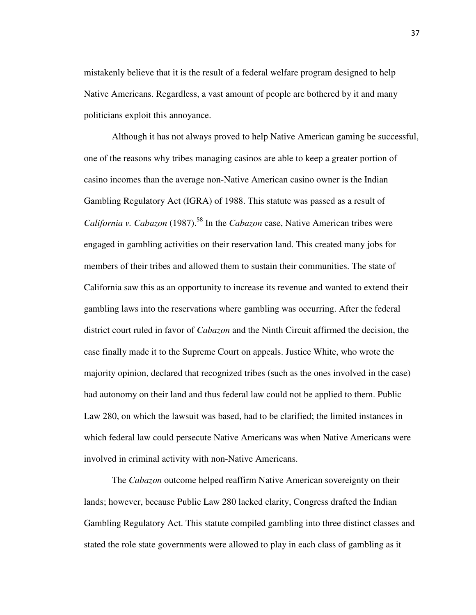mistakenly believe that it is the result of a federal welfare program designed to help Native Americans. Regardless, a vast amount of people are bothered by it and many politicians exploit this annoyance.

 Although it has not always proved to help Native American gaming be successful, one of the reasons why tribes managing casinos are able to keep a greater portion of casino incomes than the average non-Native American casino owner is the Indian Gambling Regulatory Act (IGRA) of 1988. This statute was passed as a result of *California v. Cabazon* (1987).<sup>58</sup> In the *Cabazon* case, Native American tribes were engaged in gambling activities on their reservation land. This created many jobs for members of their tribes and allowed them to sustain their communities. The state of California saw this as an opportunity to increase its revenue and wanted to extend their gambling laws into the reservations where gambling was occurring. After the federal district court ruled in favor of *Cabazon* and the Ninth Circuit affirmed the decision, the case finally made it to the Supreme Court on appeals. Justice White, who wrote the majority opinion, declared that recognized tribes (such as the ones involved in the case) had autonomy on their land and thus federal law could not be applied to them. Public Law 280, on which the lawsuit was based, had to be clarified; the limited instances in which federal law could persecute Native Americans was when Native Americans were involved in criminal activity with non-Native Americans.

 The *Cabazon* outcome helped reaffirm Native American sovereignty on their lands; however, because Public Law 280 lacked clarity, Congress drafted the Indian Gambling Regulatory Act. This statute compiled gambling into three distinct classes and stated the role state governments were allowed to play in each class of gambling as it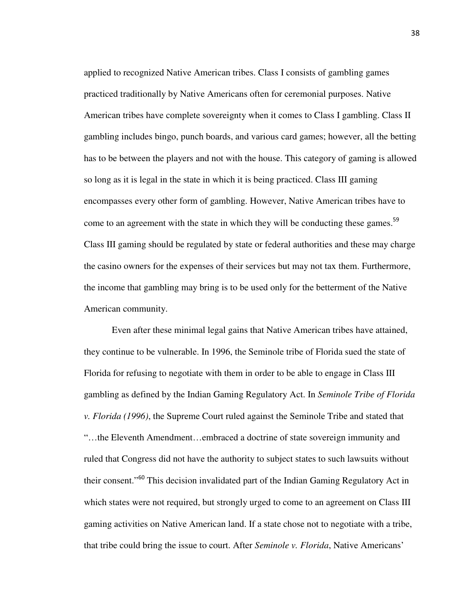applied to recognized Native American tribes. Class I consists of gambling games practiced traditionally by Native Americans often for ceremonial purposes. Native American tribes have complete sovereignty when it comes to Class I gambling. Class II gambling includes bingo, punch boards, and various card games; however, all the betting has to be between the players and not with the house. This category of gaming is allowed so long as it is legal in the state in which it is being practiced. Class III gaming encompasses every other form of gambling. However, Native American tribes have to come to an agreement with the state in which they will be conducting these games.<sup>59</sup> Class III gaming should be regulated by state or federal authorities and these may charge the casino owners for the expenses of their services but may not tax them. Furthermore, the income that gambling may bring is to be used only for the betterment of the Native American community.

 Even after these minimal legal gains that Native American tribes have attained, they continue to be vulnerable. In 1996, the Seminole tribe of Florida sued the state of Florida for refusing to negotiate with them in order to be able to engage in Class III gambling as defined by the Indian Gaming Regulatory Act. In *Seminole Tribe of Florida v. Florida (1996)*, the Supreme Court ruled against the Seminole Tribe and stated that "…the Eleventh Amendment…embraced a doctrine of state sovereign immunity and ruled that Congress did not have the authority to subject states to such lawsuits without their consent."<sup>60</sup> This decision invalidated part of the Indian Gaming Regulatory Act in which states were not required, but strongly urged to come to an agreement on Class III gaming activities on Native American land. If a state chose not to negotiate with a tribe, that tribe could bring the issue to court. After *Seminole v. Florida*, Native Americans'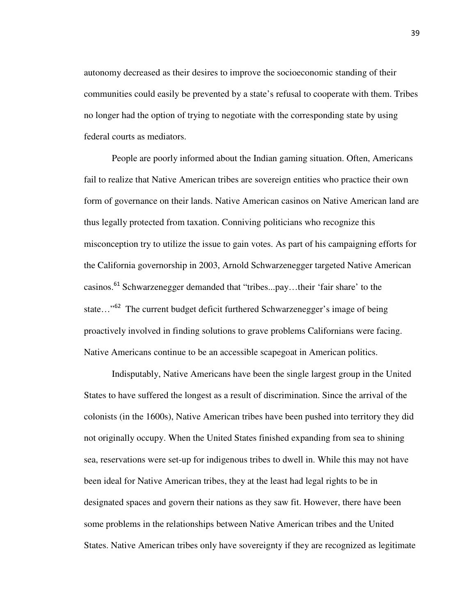autonomy decreased as their desires to improve the socioeconomic standing of their communities could easily be prevented by a state's refusal to cooperate with them. Tribes no longer had the option of trying to negotiate with the corresponding state by using federal courts as mediators.

 People are poorly informed about the Indian gaming situation. Often, Americans fail to realize that Native American tribes are sovereign entities who practice their own form of governance on their lands. Native American casinos on Native American land are thus legally protected from taxation. Conniving politicians who recognize this misconception try to utilize the issue to gain votes. As part of his campaigning efforts for the California governorship in 2003, Arnold Schwarzenegger targeted Native American casinos.<sup>61</sup> Schwarzenegger demanded that "tribes...pay...their 'fair share' to the state...<sup>52</sup> The current budget deficit furthered Schwarzenegger's image of being proactively involved in finding solutions to grave problems Californians were facing. Native Americans continue to be an accessible scapegoat in American politics.

 Indisputably, Native Americans have been the single largest group in the United States to have suffered the longest as a result of discrimination. Since the arrival of the colonists (in the 1600s), Native American tribes have been pushed into territory they did not originally occupy. When the United States finished expanding from sea to shining sea, reservations were set-up for indigenous tribes to dwell in. While this may not have been ideal for Native American tribes, they at the least had legal rights to be in designated spaces and govern their nations as they saw fit. However, there have been some problems in the relationships between Native American tribes and the United States. Native American tribes only have sovereignty if they are recognized as legitimate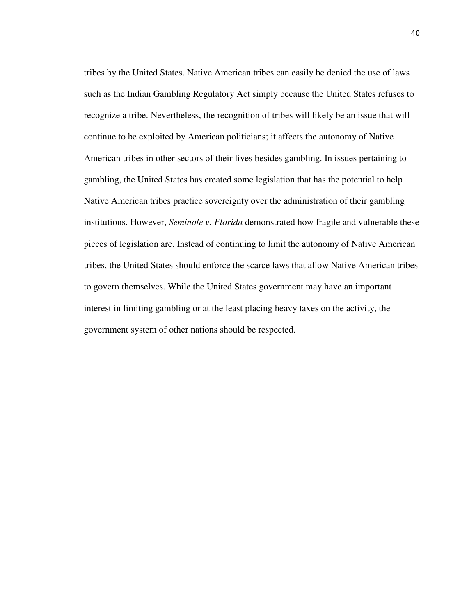tribes by the United States. Native American tribes can easily be denied the use of laws such as the Indian Gambling Regulatory Act simply because the United States refuses to recognize a tribe. Nevertheless, the recognition of tribes will likely be an issue that will continue to be exploited by American politicians; it affects the autonomy of Native American tribes in other sectors of their lives besides gambling. In issues pertaining to gambling, the United States has created some legislation that has the potential to help Native American tribes practice sovereignty over the administration of their gambling institutions. However, *Seminole v. Florida* demonstrated how fragile and vulnerable these pieces of legislation are. Instead of continuing to limit the autonomy of Native American tribes, the United States should enforce the scarce laws that allow Native American tribes to govern themselves. While the United States government may have an important interest in limiting gambling or at the least placing heavy taxes on the activity, the government system of other nations should be respected.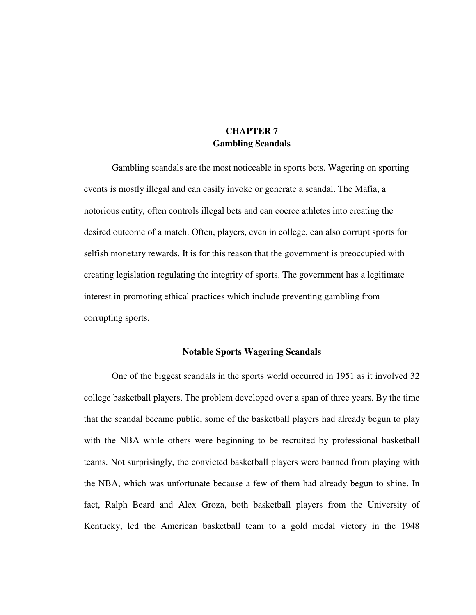## **CHAPTER 7 Gambling Scandals**

 Gambling scandals are the most noticeable in sports bets. Wagering on sporting events is mostly illegal and can easily invoke or generate a scandal. The Mafia, a notorious entity, often controls illegal bets and can coerce athletes into creating the desired outcome of a match. Often, players, even in college, can also corrupt sports for selfish monetary rewards. It is for this reason that the government is preoccupied with creating legislation regulating the integrity of sports. The government has a legitimate interest in promoting ethical practices which include preventing gambling from corrupting sports.

## **Notable Sports Wagering Scandals**

 One of the biggest scandals in the sports world occurred in 1951 as it involved 32 college basketball players. The problem developed over a span of three years. By the time that the scandal became public, some of the basketball players had already begun to play with the NBA while others were beginning to be recruited by professional basketball teams. Not surprisingly, the convicted basketball players were banned from playing with the NBA, which was unfortunate because a few of them had already begun to shine. In fact, Ralph Beard and Alex Groza, both basketball players from the University of Kentucky, led the American basketball team to a gold medal victory in the 1948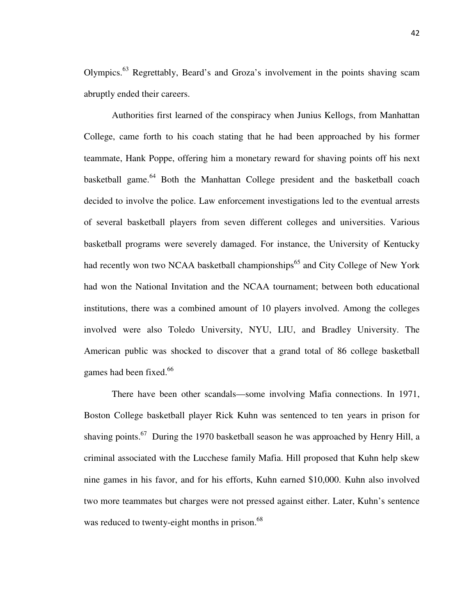Olympics.<sup>63</sup> Regrettably, Beard's and Groza's involvement in the points shaving scam abruptly ended their careers.

 Authorities first learned of the conspiracy when Junius Kellogs, from Manhattan College, came forth to his coach stating that he had been approached by his former teammate, Hank Poppe, offering him a monetary reward for shaving points off his next basketball game.<sup>64</sup> Both the Manhattan College president and the basketball coach decided to involve the police. Law enforcement investigations led to the eventual arrests of several basketball players from seven different colleges and universities. Various basketball programs were severely damaged. For instance, the University of Kentucky had recently won two NCAA basketball championships<sup>65</sup> and City College of New York had won the National Invitation and the NCAA tournament; between both educational institutions, there was a combined amount of 10 players involved. Among the colleges involved were also Toledo University, NYU, LIU, and Bradley University. The American public was shocked to discover that a grand total of 86 college basketball games had been fixed.<sup>66</sup>

 There have been other scandals—some involving Mafia connections. In 1971, Boston College basketball player Rick Kuhn was sentenced to ten years in prison for shaving points.<sup>67</sup> During the 1970 basketball season he was approached by Henry Hill, a criminal associated with the Lucchese family Mafia. Hill proposed that Kuhn help skew nine games in his favor, and for his efforts, Kuhn earned \$10,000. Kuhn also involved two more teammates but charges were not pressed against either. Later, Kuhn's sentence was reduced to twenty-eight months in prison.<sup>68</sup>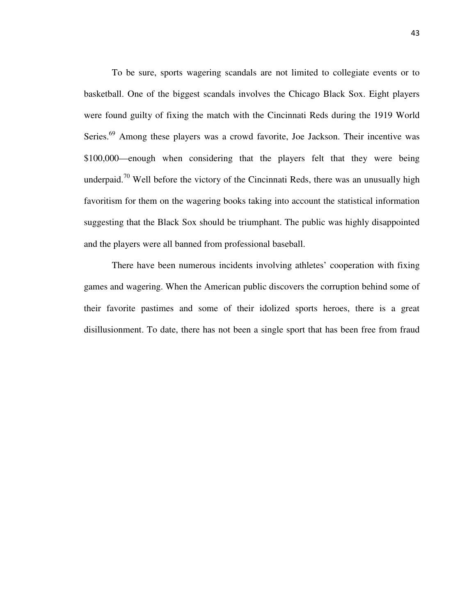To be sure, sports wagering scandals are not limited to collegiate events or to basketball. One of the biggest scandals involves the Chicago Black Sox. Eight players were found guilty of fixing the match with the Cincinnati Reds during the 1919 World Series.<sup>69</sup> Among these players was a crowd favorite, Joe Jackson. Their incentive was \$100,000—enough when considering that the players felt that they were being underpaid.<sup>70</sup> Well before the victory of the Cincinnati Reds, there was an unusually high favoritism for them on the wagering books taking into account the statistical information suggesting that the Black Sox should be triumphant. The public was highly disappointed and the players were all banned from professional baseball.

 There have been numerous incidents involving athletes' cooperation with fixing games and wagering. When the American public discovers the corruption behind some of their favorite pastimes and some of their idolized sports heroes, there is a great disillusionment. To date, there has not been a single sport that has been free from fraud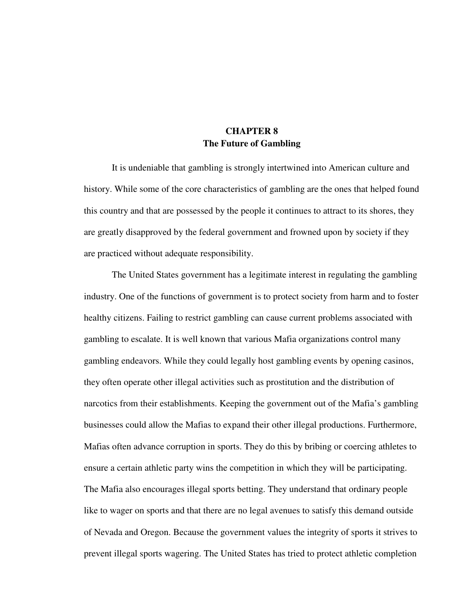## **CHAPTER 8 The Future of Gambling**

It is undeniable that gambling is strongly intertwined into American culture and history. While some of the core characteristics of gambling are the ones that helped found this country and that are possessed by the people it continues to attract to its shores, they are greatly disapproved by the federal government and frowned upon by society if they are practiced without adequate responsibility.

The United States government has a legitimate interest in regulating the gambling industry. One of the functions of government is to protect society from harm and to foster healthy citizens. Failing to restrict gambling can cause current problems associated with gambling to escalate. It is well known that various Mafia organizations control many gambling endeavors. While they could legally host gambling events by opening casinos, they often operate other illegal activities such as prostitution and the distribution of narcotics from their establishments. Keeping the government out of the Mafia's gambling businesses could allow the Mafias to expand their other illegal productions. Furthermore, Mafias often advance corruption in sports. They do this by bribing or coercing athletes to ensure a certain athletic party wins the competition in which they will be participating. The Mafia also encourages illegal sports betting. They understand that ordinary people like to wager on sports and that there are no legal avenues to satisfy this demand outside of Nevada and Oregon. Because the government values the integrity of sports it strives to prevent illegal sports wagering. The United States has tried to protect athletic completion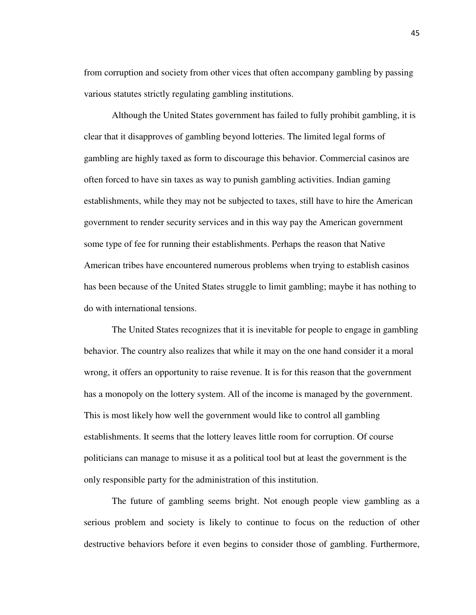from corruption and society from other vices that often accompany gambling by passing various statutes strictly regulating gambling institutions.

 Although the United States government has failed to fully prohibit gambling, it is clear that it disapproves of gambling beyond lotteries. The limited legal forms of gambling are highly taxed as form to discourage this behavior. Commercial casinos are often forced to have sin taxes as way to punish gambling activities. Indian gaming establishments, while they may not be subjected to taxes, still have to hire the American government to render security services and in this way pay the American government some type of fee for running their establishments. Perhaps the reason that Native American tribes have encountered numerous problems when trying to establish casinos has been because of the United States struggle to limit gambling; maybe it has nothing to do with international tensions.

 The United States recognizes that it is inevitable for people to engage in gambling behavior. The country also realizes that while it may on the one hand consider it a moral wrong, it offers an opportunity to raise revenue. It is for this reason that the government has a monopoly on the lottery system. All of the income is managed by the government. This is most likely how well the government would like to control all gambling establishments. It seems that the lottery leaves little room for corruption. Of course politicians can manage to misuse it as a political tool but at least the government is the only responsible party for the administration of this institution.

 The future of gambling seems bright. Not enough people view gambling as a serious problem and society is likely to continue to focus on the reduction of other destructive behaviors before it even begins to consider those of gambling. Furthermore,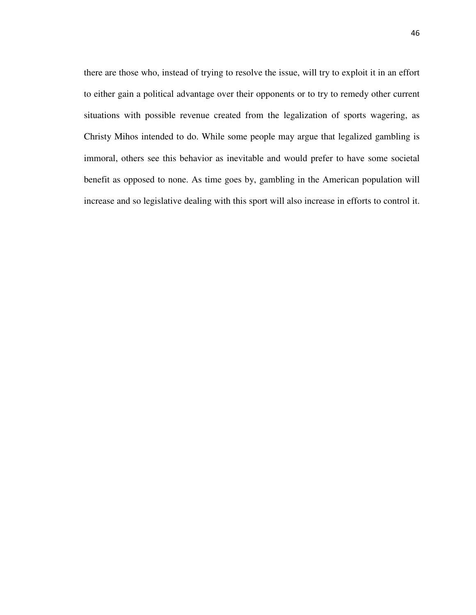there are those who, instead of trying to resolve the issue, will try to exploit it in an effort to either gain a political advantage over their opponents or to try to remedy other current situations with possible revenue created from the legalization of sports wagering, as Christy Mihos intended to do. While some people may argue that legalized gambling is immoral, others see this behavior as inevitable and would prefer to have some societal benefit as opposed to none. As time goes by, gambling in the American population will increase and so legislative dealing with this sport will also increase in efforts to control it.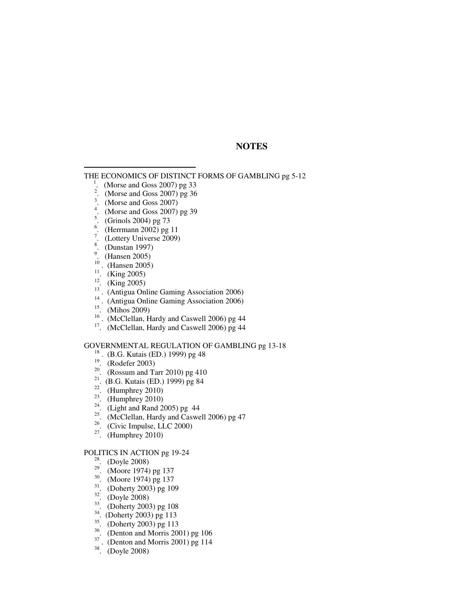## **NOTES**

THE ECONOMICS OF DISTINCT FORMS OF GAMBLING pg 5-12

- 1 . (Morse and Goss 2007) pg 33
- $\ddot{2}$ . (Morse and Goss 2007) pg 36
- 3 . (Morse and Goss 2007)
- 4 . (Morse and Goss 2007) pg 39
- 5 . (Grinols 2004) pg 73
- 6 . (Herrmann 2002) pg 11
- $\overline{7}$ . (Lottery Universe 2009)
- 8 . (Dunstan 1997)

 $\overline{a}$ 

- $\overline{9}$ . (Hansen 2005)
- <sup>10</sup> . (Hansen 2005)
- <sup>11</sup>. (King 2005)
- (King 2005)
- <sup>13</sup>. (Antigua Online Gaming Association 2006)<sup>14</sup> (Antigua Online Gaming Association 2006)
- <sup>14</sup> . (Antigua Online Gaming Association 2006)
- (Mihos 2009)
- <sup>16</sup> . (McClellan, Hardy and Caswell 2006) pg 44
- $17.$  (McClellan, Hardy and Caswell 2006) pg 44

#### GOVERNMENTAL REGULATION OF GAMBLING pg 13-18

- <sup>18</sup>. (B.G. Kutais (ED.) 1999) pg 48
- $19.$  (Rodefer 2003)
- <sup>20</sup>. (Rossum and Tarr 2010) pg 410
- <sup>21</sup>. (B.G. Kutais (ED.) 1999) pg 84
- <sup>22</sup>. (Humphrey 2010)<br><sup>23</sup>. (Humphrey 2010)
- <sup>23</sup>. (Humphrey 2010)<br><sup>24</sup> (Light and Pand 2)
- <sup>24</sup>. (Light and Rand 2005) pg 44<br> $\frac{25}{25}$  (MeClellan, Hardy and Casus
- <sup>25</sup>. (McClellan, Hardy and Caswell 2006) pg 47<br><sup>26</sup>. (Givine Impulse, LLC 2000)
- <sup>26</sup>. (Civic Impulse, LLC 2000)
- $27.$  (Humphrey 2010)

#### POLITICS IN ACTION pg 19-24

- $28.$  (Doyle 2008)
- <sup>29</sup>. (Moore 1974) pg 137
- <sup>30</sup>. (Moore 1974) pg 137
- $31.$  (Doherty 2003) pg 109
- $32.$  (Doyle 2008)
- <sup>33</sup>. (Doherty 2003) pg 108
- <sup>34</sup>. (Doherty 2003) pg 113
- $35.$  (Doherty 2003) pg 113
- $rac{36}{37}$ . (Denton and Morris 2001) pg 106
- (Denton and Morris 2001) pg 114
- $38.$  (Doyle 2008)